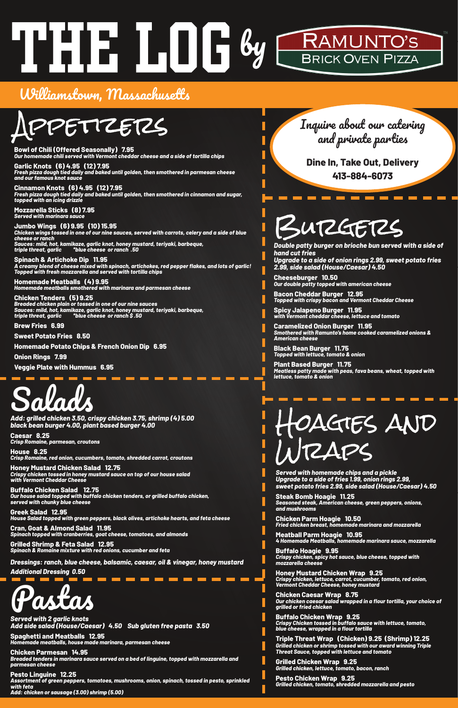# RAMUNTO'S<br>BRICK OVEN PIZZA The Log by

### Williamstown, Massachusetts



**Bowl of Chili (Offered Seasonally) 7.95** *Our homemade chili served with Vermont cheddar cheese and a side of tortilla chips*

**Garlic Knots (6) 4.95 (12) 7.95** *Fresh pizza dough tied daily and baked until golden, then smothered in parmesan cheese and our famous knot sauce*

**Cinnamon Knots (6) 4.95 (12) 7.95** *Fresh pizza dough tied daily and baked until golden, then smothered in cinnamon and sugar, topped with an icing drizzle*

**Mozzarella Sticks (8) 7.95** *Served with marinara sauce*

**Jumbo Wings (6) 9.95 (10) 15.95** *Chicken wings tossed in one of our nine sauces, served with carrots, celery and a side of blue cheese or ranch Sauces: mild, hot, kamikaze, garlic knot, honey mustard, teriyaki, barbeque, triple threat, garlic \*blue cheese or ranch .50*

**Spinach & Artichoke Dip 11.95** *A creamy blend of cheese mixed with spinach, artichokes, red pepper flakes, and lots of garlic! Topped with fresh mozzarella and served with tortilla chips*

**Homemade Meatballs (4) 9.95**  *Homemade meatballs smothered with marinara and parmesan cheese*

**Chicken Tenders (5) 9.25** *Breaded chicken plain or tossed in one of our nine sauces Sauces: mild, hot, kamikaze, garlic knot, honey mustard, teriyaki, barbeque, triple threat, garlic \*blue cheese or ranch \$ .50*

**Brew Fries 6.99**

**Sweet Potato Fries 8.50**

**Homemade Potato Chips & French Onion Dip 6.95**

**Onion Rings 7.99**

**Veggie Plate with Hummus 6.95**



*black bean burger 4.00, plant based burger 4.00*

**Caesar 8.25** *Crisp Romaine, parmesan, croutons*

**House 8.25** *Crisp Romaine, red onion, cucumbers, tomato, shredded carrot, croutons*

**Honey Mustard Chicken Salad 12.75** *Crispy chicken tossed in honey mustard sauce on top of our house salad with Vermont Cheddar Cheese*

**Buffalo Chicken Salad 12.75** *Our house salad topped with buffalo chicken tenders, or grilled buffalo chicken, served with chunky blue cheese*

**Greek Salad 12.95** *House Salad topped with green peppers, black olives, artichoke hearts, and feta cheese*

**Cran, Goat & Almond Salad 11.95** *Spinach topped with cranberries, goat cheese, tomatoes, and almonds* 

**Grilled Shrimp & Feta Salad 12.95** *Spinach & Romaine mixture with red onions, cucumber and feta*

*Dressings: ranch, blue cheese, balsamic, caesar, oil & vinegar, honey mustard Additional Dressing 0.50*



*Served with 2 garlic knots Add side salad (House/Caesar) 4.50 Sub gluten free pasta 3.50*

**Spaghetti and Meatballs 12.95** *Homemade meatballs, house made marinara, parmesan cheese* 

**Chicken Parmesan 14.95** *Breaded tenders in marinara sauce served on a bed of linguine, topped with mozzarella and parmesan cheese*

**Pesto Linguine 12.25** *Assortment of green peppers, tomatoes, mushrooms, onion, spinach, tossed in pesto, sprinkled with feta Add: chicken or sausage (3.00) shrimp (5.00)*

Burgers

*Double patty burger on brioche bun served with a side of hand cut fries Upgrade to a side of onion rings 2.99, sweet potato fries 2.99, side salad (House/Caesar) 4.50*

**Cheeseburger 10.50** *Our double patty topped with american cheese*

**Bacon Cheddar Burger 12.95** *Topped with crispy bacon and Vermont Cheddar Cheese*

**Spicy Jalapeno Burger 11.95** *with Vermont cheddar cheese, lettuce and tomato*

**Caramelized Onion Burger 11.95** *Smothered with Ramunto's home cooked caramelized onions & American cheese*

**Black Bean Burger 11.75** *Topped with lettuce, tomato & onion*

**Plant Based Burger 11.75** *Meatless patty made with peas, fava beans, wheat, topped with lettuce, tomato & onion*



**Dine In, Take Out, Delivery 413-884-6073**



*Served with homemade chips and a pickle Upgrade to a side of fries 1.99, onion rings 2.99, sweet potato fries 2.99, side salad (House/Caesar) 4.50*

**Steak Bomb Hoagie 11.25** *Seasoned steak, American cheese, green peppers, onions, and mushrooms*

**Chicken Parm Hoagie 10.50**

L

L

*Fried chicken breast, homemade marinara and mozzarella*

**Meatball Parm Hoagie 10.95** *4 Homemade Meatballs, homemade marinara sauce, mozzarella*

**Buffalo Hoagie 9.95** *Crispy chicken, spicy hot sauce, blue cheese, topped with mozzarella cheese*

**Honey Mustard Chicken Wrap 9.25** *Crispy chicken, lettuce, carrot, cucumber, tomato, red onion, Vermont Cheddar Cheese, honey mustard*

**Chicken Caesar Wrap 8.75** *Our chicken caesar salad wrapped in a flour tortilla, your choice of grilled or fried chicken*

**Buffalo Chicken Wrap 9.25** *Crispy Chicken tossed in buffalo sauce with lettuce, tomato, blue cheese, wrapped in a flour tortilla*

**Triple Threat Wrap (Chicken) 9.25 (Shrimp) 12.25** *Grilled chicken or shrimp tossed with our award winning Triple Threat Sauce, topped with lettuce and tomato*

**Grilled Chicken Wrap 9.25** *Grilled chicken, lettuce, tomato, bacon, ranch*

**Pesto Chicken Wrap 9.25** *Grilled chicken, tomato, shredded mozzarella and pesto*